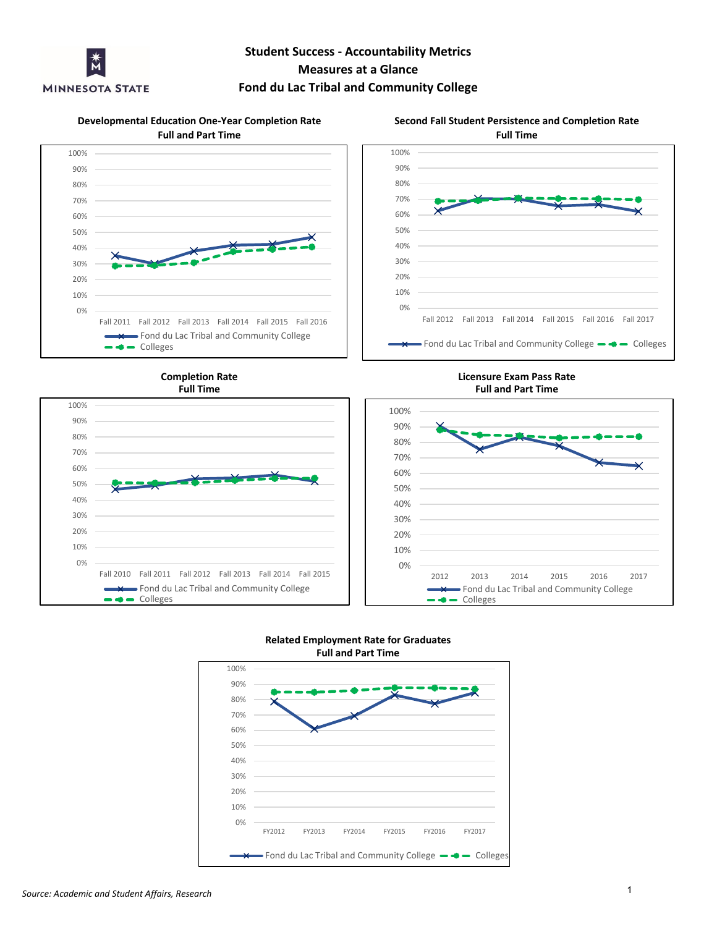

# **Student Success - Accountability Metrics Measures at a Glance**

# **Fond du Lac Tribal and Community College**

**Developmental Education One-Year Completion Rate Full and Part Time**





**Full Time Completion Rate**



**Licensure Exam Pass Rate Full and Part Time**





#### **Full and Part Time Related Employment Rate for Graduates**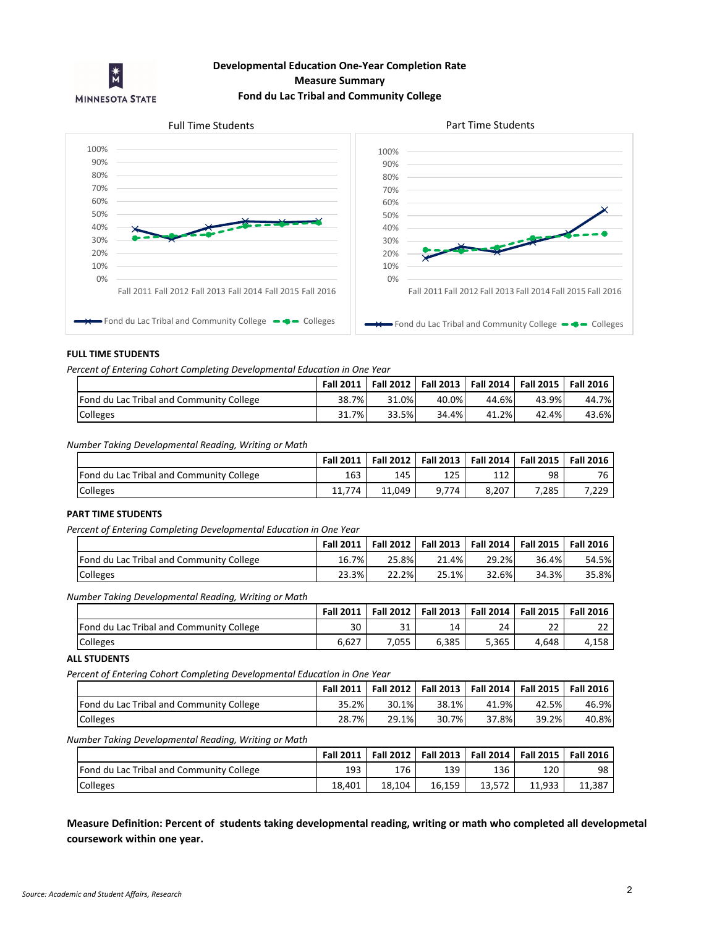

# **Developmental Education One-Year Completion Rate Measure Summary Fond du Lac Tribal and Community College**

### Full Time Students **Part Time Students**



#### **FULL TIME STUDENTS**

*Percent of Entering Cohort Completing Developmental Education in One Year*

|                                                 | <b>Fall 2011</b> |       | Fall 2012   Fall 2013   Fall 2014   Fall 2015 |       |       | <b>Fall 2016</b> |
|-------------------------------------------------|------------------|-------|-----------------------------------------------|-------|-------|------------------|
| <b>Fond du Lac Tribal and Community College</b> | 38.7%            | 31.0% | 40.0%                                         | 44.6% | 43.9% | 44.7%            |
| Colleges                                        | 31.7%            | 33.5% | 34.4%                                         | 41.2% | 42.4% | 43.6%            |

#### *Number Taking Developmental Reading, Writing or Math*

|                                          | <b>Fall 2011</b> |        | Fall 2012   Fall 2013   Fall 2014   Fall 2015   Fall 2016 |       |       |       |
|------------------------------------------|------------------|--------|-----------------------------------------------------------|-------|-------|-------|
| Fond du Lac Tribal and Community College | 163              | 145    | 125                                                       | 112.  | 98    | 76    |
| <b>Colleges</b>                          | 11.774           | 11.049 | 9.774                                                     | 8.207 | 7.285 | 7,229 |

### **PART TIME STUDENTS**

*Percent of Entering Completing Developmental Education in One Year*

|                                                 | <b>Fall 2011</b> |       | Fall 2012   Fall 2013 | <b>Fall 2014</b> |       | Fall 2015   Fall 2016 |
|-------------------------------------------------|------------------|-------|-----------------------|------------------|-------|-----------------------|
| <b>Fond du Lac Tribal and Community College</b> | 16.7%            | 25.8% | 21.4%                 | 29.2%            | 36.4% | 54.5%                 |
| <b>Colleges</b>                                 | 23.3%<br>າາ      | 22.2% | 25.1%                 | 32.6%            | 34.3% | 35.8%                 |

*Number Taking Developmental Reading, Writing or Math*

|                                          | <b>Fall 2011</b> | <b>Fall 2012</b> | <b>Fall 2013</b> | <b>Fall 2014</b> | <b>Fall 2015</b>         | <b>Fall 2016</b> |
|------------------------------------------|------------------|------------------|------------------|------------------|--------------------------|------------------|
| Fond du Lac Tribal and Community College | 30               | 31               | $\overline{14}$  | 24               | $\mathbin{\lnot}$<br>ے ے | ר ר<br>22        |
| Colleges                                 | 6,627            | .055             | 6,385            | 5,365            | 4.648                    | 4,158            |

#### **ALL STUDENTS**

*Percent of Entering Cohort Completing Developmental Education in One Year*

|                                                 | <b>Fall 2011</b> |       | Fall 2012   Fall 2013 | <b>Fall 2014</b> | Fall 2015   Fall 2016 |       |
|-------------------------------------------------|------------------|-------|-----------------------|------------------|-----------------------|-------|
| <b>Fond du Lac Tribal and Community College</b> | 35.2%            | 30.1% | 38.1%                 | 41.9%            | 42.5%                 | 46.9% |
| Colleges                                        | 28.7%            | 29.1% | 30.7%                 | 37.8%            | 39.2%                 | 40.8% |

*Number Taking Developmental Reading, Writing or Math*

|                                          | <b>Fall 2011</b> | Fall 2012   Fall 2013   Fall 2014   Fall 2015 |        |        |        | <b>Fall 2016</b> |
|------------------------------------------|------------------|-----------------------------------------------|--------|--------|--------|------------------|
| Fond du Lac Tribal and Community College | 193              | 176                                           | 139    | 136    | 120    | 98               |
| <b>Colleges</b>                          | 18.401           | 18.104                                        | 16,159 | 13.572 | 11.933 | 11,387           |

**Measure Definition: Percent of students taking developmental reading, writing or math who completed all developmetal coursework within one year.**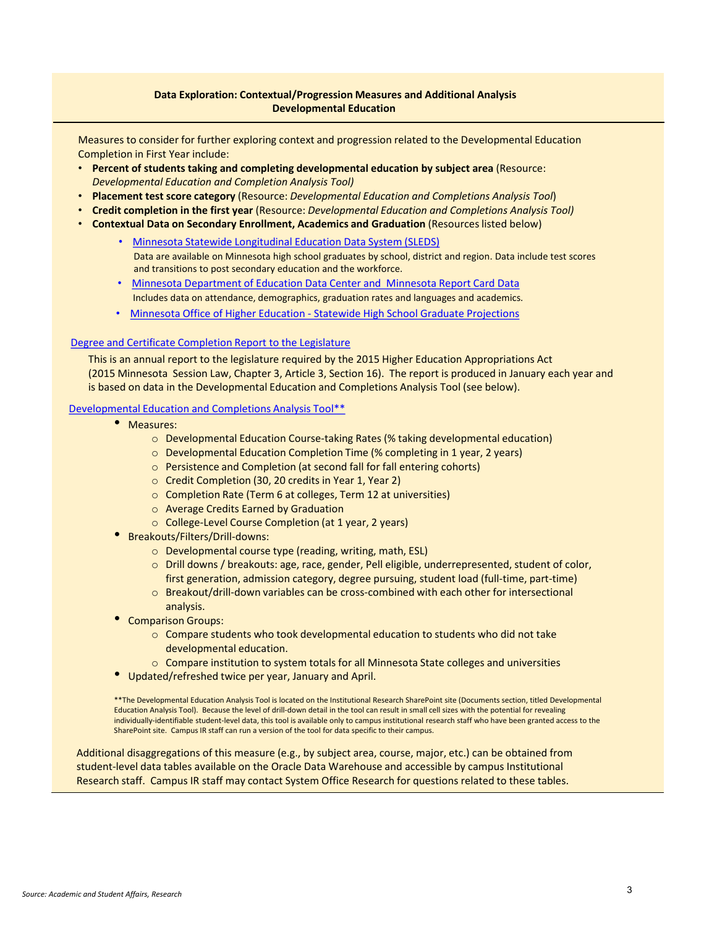### **Data Exploration: Contextual/Progression Measures and Additional Analysis Developmental Education**

Measures to consider for further exploring context and progression related to the Developmental Education Completion in First Year include:

- **Percent of students taking and completing developmental education by subject area** (Resource: *Developmental Education and Completion Analysis Tool)*
- **Placement test score category** (Resource: *Developmental Education and Completions Analysis Tool*)
- **Credit completion in the first year** (Resource: *Developmental Education and Completions Analysis Tool)*
- **Contextual Data on Secondary Enrollment, Academics and Graduation** (Resources listed below)
	- [Minnesota Statewide Longitudinal Education Data System \(SLEDS\)](http://sleds.mn.gov/) Data are available on Minnesota high school graduates by school, district and region. Data include test scores and transitions to post secondary education and the workforce.
	- [Minnesota Department of Education Data Center and Minnesota Report Card Data](https://education.mn.gov/MDE/Data/) Includes data on attendance, demographics, graduation rates and languages and academics.
	- [Minnesota Office of Higher Education -](https://www.ohe.state.mn.us/mPg.cfm?pageID=1290) Statewide High School Graduate Projections

### [Degree and Certificate Completion Report to the Legislature](http://minnstate.edu/system/asa/docs/Minnesota%20State-Completion%20Report%20to%20the%20Legislature.pdf)

This is an annual report to the legislature required by the 2015 Higher Education Appropriations Act (2015 Minnesota Session Law, Chapter 3, Article 3, Section 16). The report is produced in January each year and is based on data in the Developmental Education and Completions Analysis Tool (see below).

#### [Developmental Education and Completions Analysis Tool\\*\\*](https://mnscu.sharepoint.com/sites/irg/SitePages/Home.aspx)

- Measures:
	- o Developmental Education Course-taking Rates (% taking developmental education)
	- o Developmental Education Completion Time (% completing in 1 year, 2 years)
	- o Persistence and Completion (at second fall for fall entering cohorts)
	- o Credit Completion (30, 20 credits in Year 1, Year 2)
	- o Completion Rate (Term 6 at colleges, Term 12 at universities)
	- o Average Credits Earned by Graduation
	- o College-Level Course Completion (at 1 year, 2 years)
- Breakouts/Filters/Drill-downs:
	- o Developmental course type (reading, writing, math, ESL)
	- o Drill downs / breakouts: age, race, gender, Pell eligible, underrepresented, student of color, first generation, admission category, degree pursuing, student load (full-time, part-time)
	- o Breakout/drill-down variables can be cross-combined with each other for intersectional analysis.
- Comparison Groups:
	- o Compare students who took developmental education to students who did not take developmental education.
	- $\circ$  Compare institution to system totals for all Minnesota State colleges and universities
- Updated/refreshed twice per year, January and April.

\*\*The Developmental Education Analysis Tool is located on the Institutional Research SharePoint site (Documents section, titled Developmental Education Analysis Tool). Because the level of drill-down detail in the tool can result in small cell sizes with the potential for revealing individually-identifiable student-level data, this tool is available only to campus institutional research staff who have been granted access to the SharePoint site. Campus IR staff can run a version of the tool for data specific to their campus.

Additional disaggregations of this measure (e.g., by subject area, course, major, etc.) can be obtained from student-level data tables available on the Oracle Data Warehouse and accessible by campus Institutional Research staff. Campus IR staff may contact System Office Research for questions related to these tables.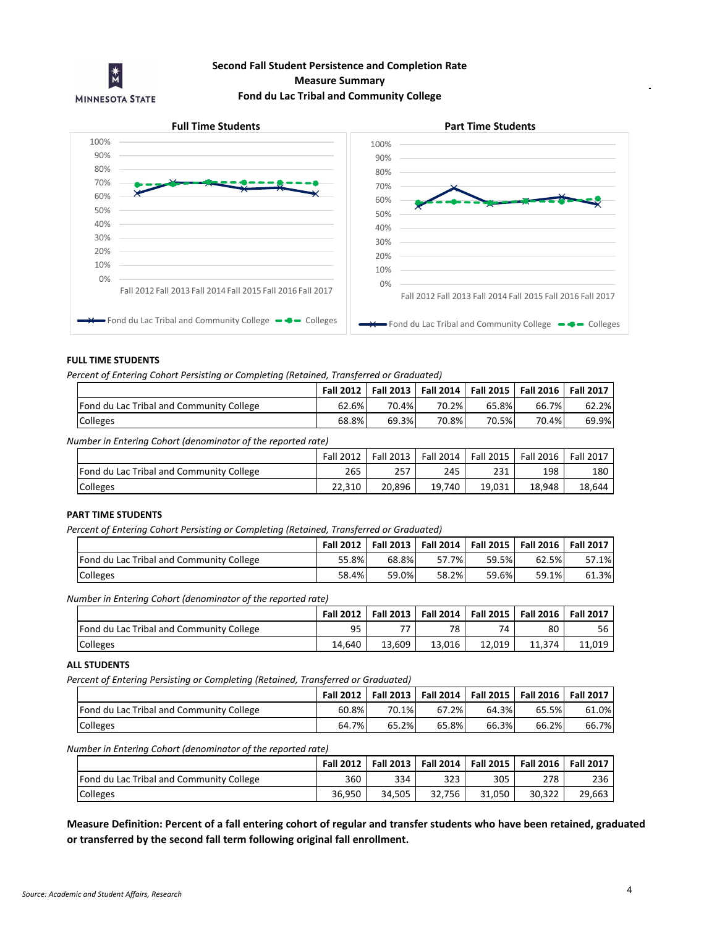

# **Measure Summary Fond du Lac Tribal and Community College Second Fall Student Persistence and Completion Rate**



### **FULL TIME STUDENTS**

*Percent of Entering Cohort Persisting or Completing (Retained, Transferred or Graduated)*

|                                                              |       |       |       |       | Fall 2012   Fall 2013   Fall 2014   Fall 2015   Fall 2016 | <b>Fall 2017</b> |
|--------------------------------------------------------------|-------|-------|-------|-------|-----------------------------------------------------------|------------------|
| Fond du Lac Tribal and Community College                     | 62.6% | 70.4% | 70.2% | 65.8% | 66.7%                                                     | 62.2%            |
| <b>Colleges</b>                                              | 68.8% | 69.3% | 70.8% | 70.5% | 70.4%                                                     | 69.9%l           |
| Number in Entering Cohort (denominator of the reported rate) |       |       |       |       |                                                           |                  |

|                                          | <b>Fall 2012</b> | Fall 2013 | Fall 2014 | Fall 2015 | <b>Fall 2016</b> | <b>Fall 2017</b> |
|------------------------------------------|------------------|-----------|-----------|-----------|------------------|------------------|
| Fond du Lac Tribal and Community College | 265              | 257       | 245       | 231       | 198              | 180              |
| Colleges                                 | 22.310           | 20.896    | 19,740    | 19.031    | 18.948           | 18,644           |

#### **PART TIME STUDENTS**

*Percent of Entering Cohort Persisting or Completing (Retained, Transferred or Graduated)*

| -<br>.                                          |           |       |                       |           |           |                  |
|-------------------------------------------------|-----------|-------|-----------------------|-----------|-----------|------------------|
|                                                 | Fall 2012 |       | Fall 2013   Fall 2014 | Fall 2015 | Fall 2016 | <b>Fall 2017</b> |
| <b>Fond du Lac Tribal and Community College</b> | 55.8%     | 68.8% | 57.7%                 | 59.5%     | 62.5%     | 57.1%            |
| Colleges                                        | 58.4%     | 59.0% | 58.2%                 | 59.6%     | 59.1%     | 61.3%            |

*Number in Entering Cohort (denominator of the reported rate)*

|                                          | <b>Fall 2012</b> |        | Fall 2013   Fall 2014 | <b>Fall 2015</b> | Fall 2016 | <b>Fall 2017</b> |
|------------------------------------------|------------------|--------|-----------------------|------------------|-----------|------------------|
| Fond du Lac Tribal and Community College | 95               | 77     | 78                    | 74               | 80        | 56               |
| <b>Colleges</b>                          | 14.640           | 13.609 | 13.016                | 12.019           | 11.374    | 11.019           |

#### **ALL STUDENTS**

*Percent of Entering Persisting or Completing (Retained, Transferred or Graduated)*

|                                          | <b>Fall 2012</b> |       | Fall 2013   Fall 2014 |       | Fall 2015   Fall 2016 | <b>Fall 2017</b> |
|------------------------------------------|------------------|-------|-----------------------|-------|-----------------------|------------------|
| Fond du Lac Tribal and Community College | 60.8%            | 70.1% | 67.2%                 | 64.3% | 65.5%                 | 61.0%            |
| <b>Colleges</b>                          | 64.7%            | 65.2% | 65.8%                 | 66.3% | 66.2%                 | 66.7%            |

*Number in Entering Cohort (denominator of the reported rate)*

|                                                 | <b>Fall 2012</b> |        |        |        | Fall 2013   Fall 2014   Fall 2015   Fall 2016 | <b>Fall 2017</b> |
|-------------------------------------------------|------------------|--------|--------|--------|-----------------------------------------------|------------------|
| <b>Fond du Lac Tribal and Community College</b> | 360              | 334    | 323    | 305    | 278                                           | 236              |
| <b>Colleges</b>                                 | 36.950           | 34.505 | 32.756 | 31.050 | 30.322                                        | 29,663           |

**Measure Definition: Percent of a fall entering cohort of regular and transfer students who have been retained, graduated or transferred by the second fall term following original fall enrollment.**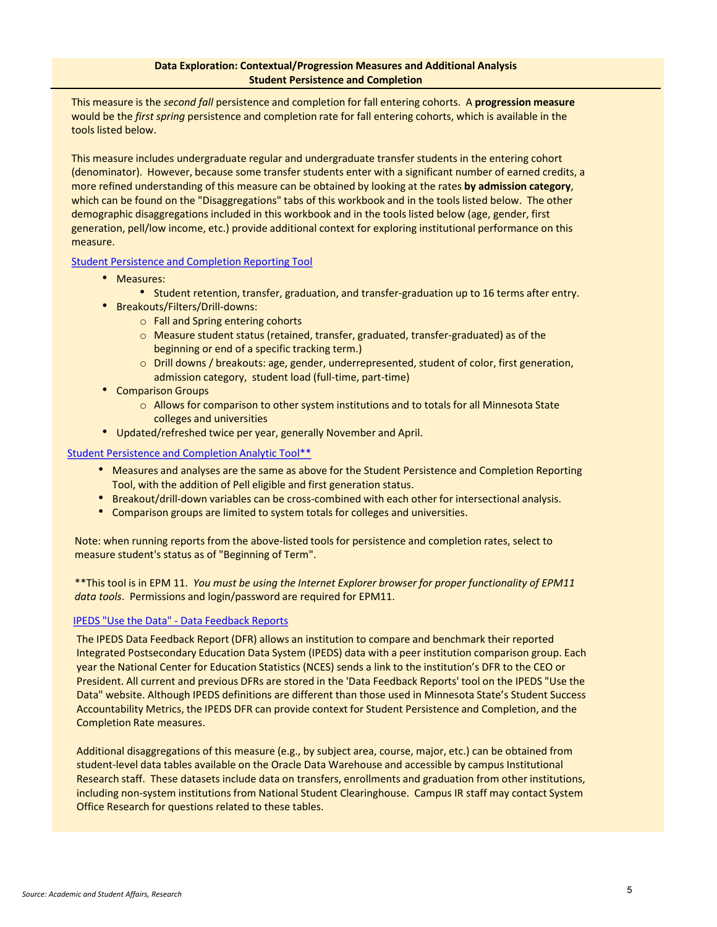This measure is the *second fall* persistence and completion for fall entering cohorts. A **progression measure**  would be the *first spring* persistence and completion rate for fall entering cohorts, which is available in the tools listed below.

This measure includes undergraduate regular and undergraduate transfer students in the entering cohort (denominator). However, because some transfer students enter with a significant number of earned credits, a more refined understanding of this measure can be obtained by looking at the rates **by admission category**, which can be found on the "Disaggregations" tabs of this workbook and in the tools listed below. The other demographic disaggregations included in this workbook and in the tools listed below (age, gender, first generation, pell/low income, etc.) provide additional context for exploring institutional performance on this measure.

Student Persistence [and Completion Reporting Tool](http://www.minnstate.edu/board/accountability/index.html)

- Measures:
	- Student retention, transfer, graduation, and transfer-graduation up to 16 terms after entry.
- Breakouts/Filters/Drill-downs:
	- o Fall and Spring entering cohorts
	- o Measure student status (retained, transfer, graduated, transfer-graduated) as of the beginning or end of a specific tracking term.)
	- o Drill downs / breakouts: age, gender, underrepresented, student of color, first generation, admission category, student load (full-time, part-time)
- Comparison Groups
	- $\circ$  Allows for comparison to other system institutions and to totals for all Minnesota State colleges and universities
- Updated/refreshed twice per year, generally November and April.

Student Persistence [and Completion Analytic Tool\\*\\*](https://data2.csvc.mnstate.us/workspace/index.jsp)

- Measures and analyses are the same as above for the Student Persistence and Completion Reporting Tool, with the addition of Pell eligible and first generation status.
- Breakout/drill-down variables can be cross-combined with each other for intersectional analysis.
- Comparison groups are limited to system totals for colleges and universities.

Note: when running reports from the above-listed tools for persistence and completion rates, select to measure student's status as of "Beginning of Term".

\*\*This tool is in EPM 11. *You must be using the Internet Explorer browser for proper functionality of EPM11 data tools*. Permissions and login/password are required for EPM11.

### IPEDS "Use the Data" - [Data Feedback Reports](https://nces.ed.gov/ipeds/use-the-data)

The IPEDS Data Feedback Report (DFR) allows an institution to compare and benchmark their reported Integrated Postsecondary Education Data System (IPEDS) data with a peer institution comparison group. Each year the National Center for Education Statistics (NCES) sends a link to the institution's DFR to the CEO or President. All current and previous DFRs are stored in the 'Data Feedback Reports' tool on the IPEDS "Use the Data" website. Although IPEDS definitions are different than those used in Minnesota State's Student Success Accountability Metrics, the IPEDS DFR can provide context for Student Persistence and Completion, and the Completion Rate measures.

Additional disaggregations of this measure (e.g., by subject area, course, major, etc.) can be obtained from student-level data tables available on the Oracle Data Warehouse and accessible by campus Institutional Research staff. These datasets include data on transfers, enrollments and graduation from other institutions, including non-system institutions from National Student Clearinghouse. Campus IR staff may contact System Office Research for questions related to these tables.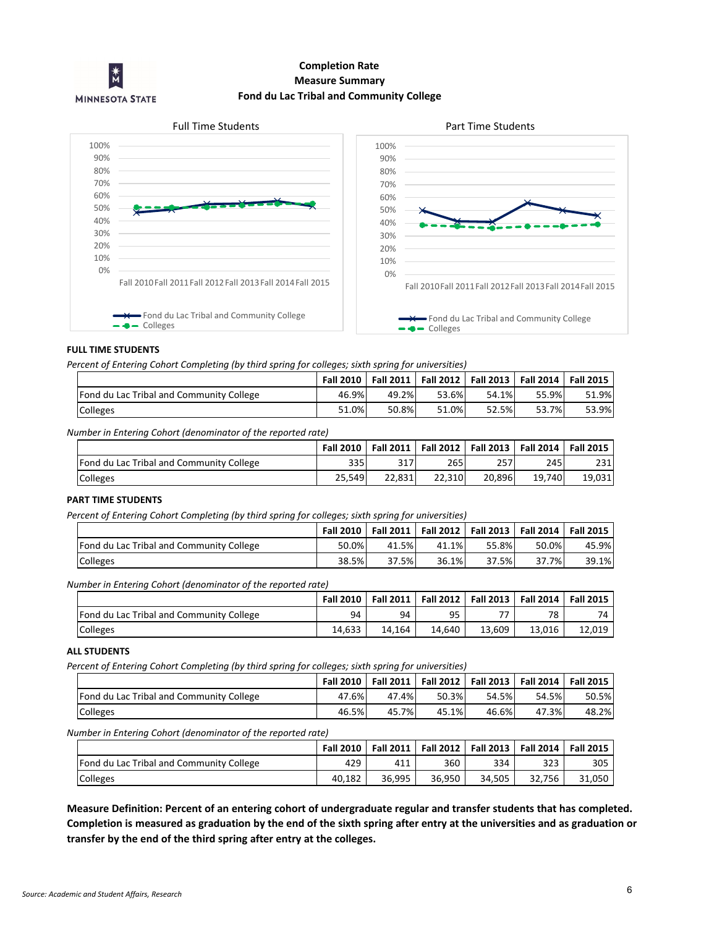

# **Completion Rate Fond du Lac Tribal and Community College Measure Summary**



#### **FULL TIME STUDENTS**

*Percent of Entering Cohort Completing (by third spring for colleges; sixth spring for universities)*

|                                          |       | Fall 2010   Fall 2011 |       | Fall 2012   Fall 2013   Fall 2014 |       | <b>Fall 2015</b> |
|------------------------------------------|-------|-----------------------|-------|-----------------------------------|-------|------------------|
| Fond du Lac Tribal and Community College | 46.9% | 49.2%                 | 53.6% | 54.1%                             | 55.9% | 51.9%            |
| Colleges                                 | 51.0% | 50.8%                 | 51.0% | 52.5%                             | 53.7% | 53.9%            |

*Number in Entering Cohort (denominator of the reported rate)*

|                                                 | <b>Fall 2010</b> | <b>Fall 2011</b> |        | Fall 2012   Fall 2013 | Fall 2014 Fall 2015 |        |
|-------------------------------------------------|------------------|------------------|--------|-----------------------|---------------------|--------|
| <b>Fond du Lac Tribal and Community College</b> | 335I             | 317              | 265    | 257                   | 245                 | 231    |
| <b>Colleges</b>                                 | 25,549           | 22,831           | 22.310 | 20.896                | 19.740              | 19.031 |

#### **PART TIME STUDENTS**

*Percent of Entering Cohort Completing (by third spring for colleges; sixth spring for universities)*

|                                                 | <b>Fall 2010</b> | Fall 2011 | Fall 2012   Fall 2013   Fall 2014 |       |       | <b>Fall 2015</b> |
|-------------------------------------------------|------------------|-----------|-----------------------------------|-------|-------|------------------|
| <b>Fond du Lac Tribal and Community College</b> | 50.0%            | 41.5%     | 41.1%                             | 55.8% | 50.0% | 45.9%            |
| Colleges                                        | 38.5%            | 37.5%     | 36.1%                             | 37.5% | 37.7% | 39.1%            |

*Number in Entering Cohort (denominator of the reported rate)*

|                                                 | <b>Fall 2010</b> |        | Fall 2011   Fall 2012   Fall 2013   Fall 2014   Fall 2015 |        |        |        |
|-------------------------------------------------|------------------|--------|-----------------------------------------------------------|--------|--------|--------|
| <b>Fond du Lac Tribal and Community College</b> | 94               | 94     | 95                                                        | 77     | 78     | 74     |
| Colleges                                        | 14.633           | 14.164 | 14.640                                                    | 13.609 | 13.016 | 12.019 |

#### **ALL STUDENTS**

*Percent of Entering Cohort Completing (by third spring for colleges; sixth spring for universities)*

|                                          | <b>Fall 2010</b> |       | Fall 2011   Fall 2012   Fall 2013 |       | Fall 2014 Fall 2015 |       |
|------------------------------------------|------------------|-------|-----------------------------------|-------|---------------------|-------|
| Fond du Lac Tribal and Community College | 47.6%            | 47.4% | 50.3%                             | 54.5% | 54.5%               | 50.5% |
| <b>Colleges</b>                          | 46.5%            | 45.7% | 45.1%                             | 46.6% | 47.3%               | 48.2% |

### *Number in Entering Cohort (denominator of the reported rate)*

|                                          | <b>Fall 2010</b> |        | Fall 2011   Fall 2012 |        | Fall 2013   Fall 2014   Fall 2015 |        |
|------------------------------------------|------------------|--------|-----------------------|--------|-----------------------------------|--------|
| Fond du Lac Tribal and Community College | 429              | 411    | 360                   | 334    | 323                               | 305    |
| <b>Colleges</b>                          | 40.182           | 36.995 | 36.950                | 34.505 | 32.756                            | 31.050 |

**Measure Definition: Percent of an entering cohort of undergraduate regular and transfer students that has completed. Completion is measured as graduation by the end of the sixth spring after entry at the universities and as graduation or transfer by the end of the third spring after entry at the colleges.**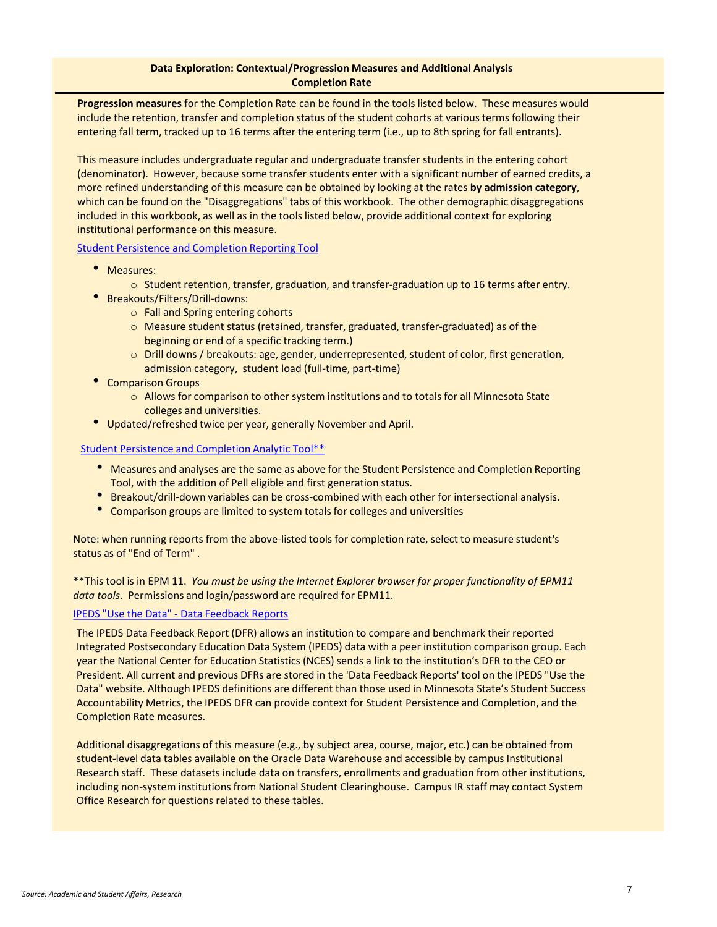### **Data Exploration: Contextual/Progression Measures and Additional Analysis Completion Rate**

**Progression measures** for the Completion Rate can be found in the tools listed below. These measures would include the retention, transfer and completion status of the student cohorts at various terms following their entering fall term, tracked up to 16 terms after the entering term (i.e., up to 8th spring for fall entrants).

This measure includes undergraduate regular and undergraduate transfer students in the entering cohort (denominator). However, because some transfer students enter with a significant number of earned credits, a more refined understanding of this measure can be obtained by looking at the rates **by admission category**, which can be found on the "Disaggregations" tabs of this workbook. The other demographic disaggregations included in this workbook, as well as in the tools listed below, provide additional context for exploring institutional performance on this measure.

Student Persistence [and Completion Reporting Tool](http://www.minnstate.edu/board/accountability/index.html)

- Measures:
	- $\circ$  Student retention, transfer, graduation, and transfer-graduation up to 16 terms after entry.
- Breakouts/Filters/Drill-downs:
	- o Fall and Spring entering cohorts
	- $\circ$  Measure student status (retained, transfer, graduated, transfer-graduated) as of the beginning or end of a specific tracking term.)
	- o Drill downs / breakouts: age, gender, underrepresented, student of color, first generation, admission category, student load (full-time, part-time)
- Comparison Groups
	- o Allows for comparison to other system institutions and to totals for all Minnesota State colleges and universities.
- Updated/refreshed twice per year, generally November and April.

### Student Persistence [and Completion Analytic Tool\\*\\*](https://data2.csvc.mnstate.us/workspace/index.jsp)

- Measures and analyses are the same as above for the Student Persistence and Completion Reporting Tool, with the addition of Pell eligible and first generation status.
- Breakout/drill-down variables can be cross-combined with each other for intersectional analysis.
- Comparison groups are limited to system totals for colleges and universities

Note: when running reports from the above-listed tools for completion rate, select to measure student's status as of "End of Term" .

\*\*This tool is in EPM 11. *You must be using the Internet Explorer browser for proper functionality of EPM11 data tools*. Permissions and login/password are required for EPM11.

### IPEDS "Use the Data" - [Data Feedback Reports](https://nces.ed.gov/ipeds/use-the-data)

The IPEDS Data Feedback Report (DFR) allows an institution to compare and benchmark their reported Integrated Postsecondary Education Data System (IPEDS) data with a peer institution comparison group. Each year the National Center for Education Statistics (NCES) sends a link to the institution's DFR to the CEO or President. All current and previous DFRs are stored in the 'Data Feedback Reports' tool on the IPEDS "Use the Data" website. Although IPEDS definitions are different than those used in Minnesota State's Student Success Accountability Metrics, the IPEDS DFR can provide context for Student Persistence and Completion, and the Completion Rate measures.

Additional disaggregations of this measure (e.g., by subject area, course, major, etc.) can be obtained from student-level data tables available on the Oracle Data Warehouse and accessible by campus Institutional Research staff. These datasets include data on transfers, enrollments and graduation from other institutions, including non-system institutions from National Student Clearinghouse. Campus IR staff may contact System Office Research for questions related to these tables.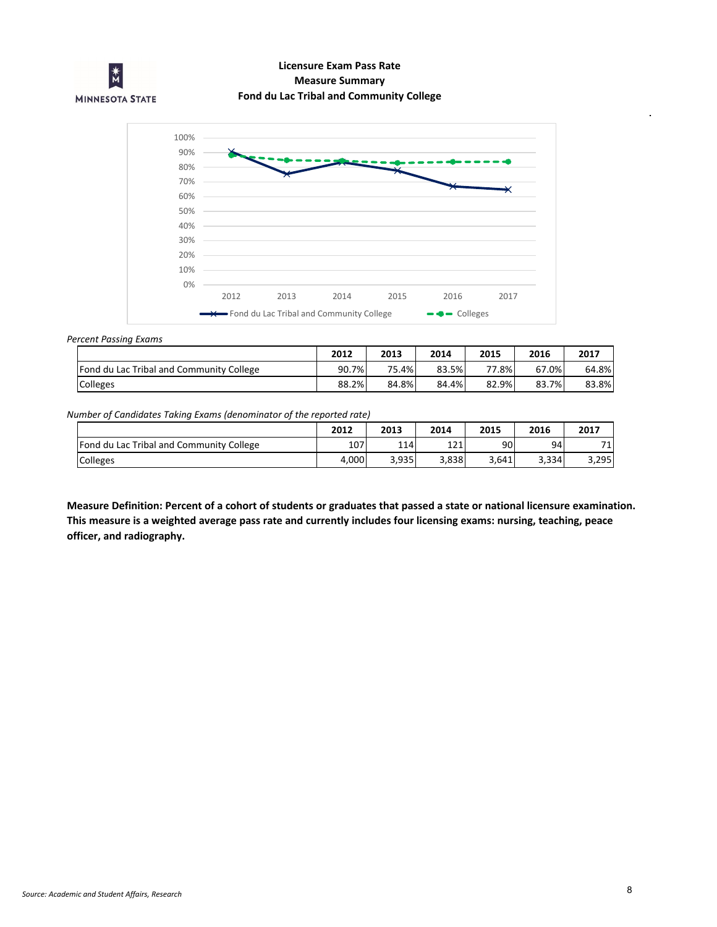

# **Licensure Exam Pass Rate Measure Summary Fond du Lac Tribal and Community College**



#### *Percent Passing Exams*

|                                          | 2012  | 2013  | 2014  | 2015  | 2016  | 2017  |
|------------------------------------------|-------|-------|-------|-------|-------|-------|
| Fond du Lac Tribal and Community College | 90.7% | 75.4% | 83.5% | 77.8% | 67.0% | 64.8% |
| Colleges                                 | 88.2% | 84.8% | 84.4% | 82.9% | 83.7% | 83.8% |

### *Number of Candidates Taking Exams (denominator of the reported rate)*

|                                          | 2012  | 2013  | 2014  | 2015  | 2016  | 2017  |
|------------------------------------------|-------|-------|-------|-------|-------|-------|
| Fond du Lac Tribal and Community College | 107   | 114   | 121   | 90    | 94    | 74    |
| Colleges                                 | 4,000 | 3,935 | 3,838 | 3,641 | 3,334 | 3,295 |

**Measure Definition: Percent of a cohort of students or graduates that passed a state or national licensure examination. This measure is a weighted average pass rate and currently includes four licensing exams: nursing, teaching, peace officer, and radiography.**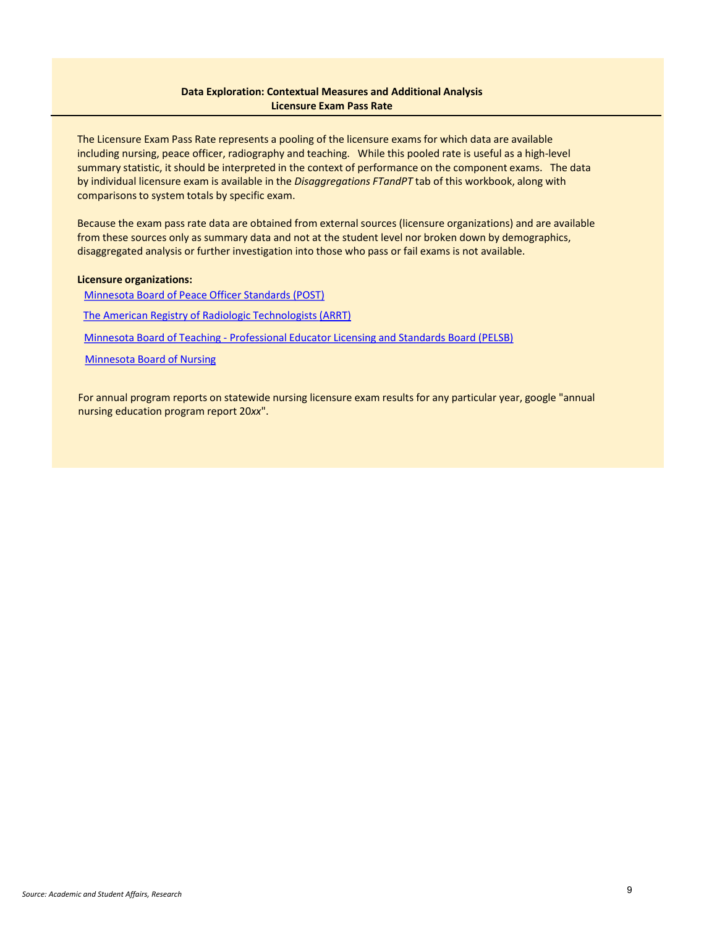### **Data Exploration: Contextual Measures and Additional Analysis Licensure Exam Pass Rate**

The Licensure Exam Pass Rate represents a pooling of the licensure exams for which data are available including nursing, peace officer, radiography and teaching. While this pooled rate is useful as a high-level summary statistic, it should be interpreted in the context of performance on the component exams. The data by individual licensure exam is available in the *Disaggregations FTandPT* tab of this workbook, along with comparisons to system totals by specific exam.

Because the exam pass rate data are obtained from external sources (licensure organizations) and are available from these sources only as summary data and not at the student level nor broken down by demographics, disaggregated analysis or further investigation into those who pass or fail exams is not available.

### **Licensure organizations:**

Minnesota Board of [Peace Officer Standards \(POST\)](https://dps.mn.gov/entity/post/Pages/default.aspx) [The American Registry of Radiologic Technologists \(ARRT\)](https://www.arrt.org/about-the-profession/state-licensing) Minnesota Board of Teaching - [Professional Educator Licensing and Standards Board \(PELSB\)](https://mn.gov/pelsb/) [Minnesota Board of Nursing](https://mn.gov/boards/nursing/)

For annual program reports on statewide nursing licensure exam results for any particular year, google "annual nursing education program report 20*xx*".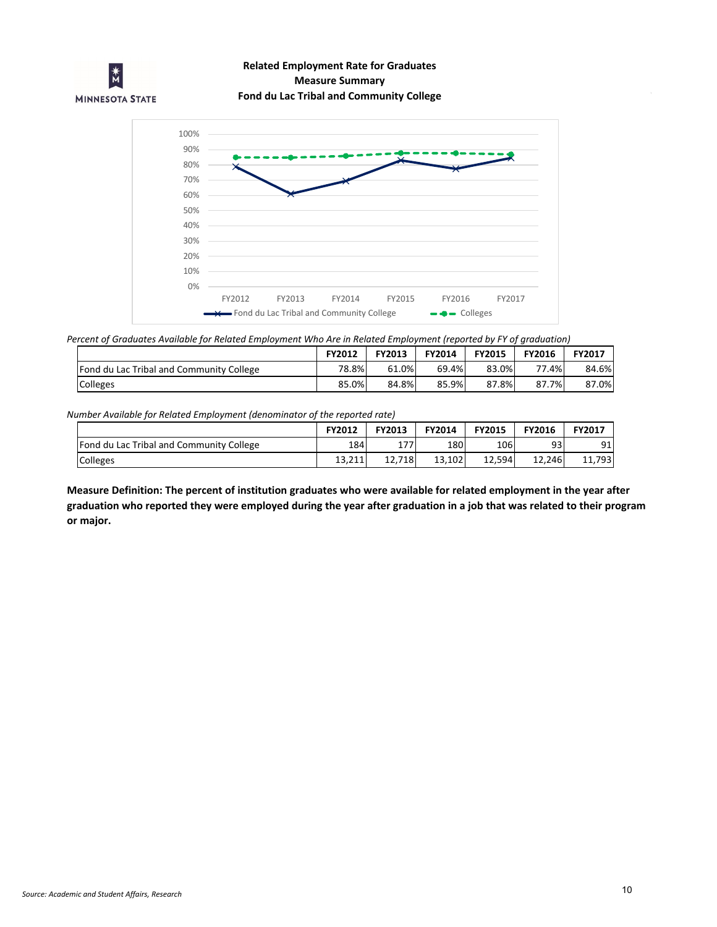

# **Measure Summary Related Employment Rate for Graduates Fond du Lac Tribal and Community College**



*Percent of Graduates Available for Related Employment Who Are in Related Employment (reported by FY of graduation)*

|                                                 | <b>FY2012</b> | <b>FY2013</b> | <b>FY2014</b> | <b>FY2015</b> | <b>FY2016</b> | <b>FY2017</b> |
|-------------------------------------------------|---------------|---------------|---------------|---------------|---------------|---------------|
| <b>Fond du Lac Tribal and Community College</b> | 78.8%         | 61.0%         | 69.4%         | 83.0%         | 77.4%         | 84.6%         |
| <b>Colleges</b>                                 | 85.0%         | 84.8%         | 85.9%         | 87.8%         | 87.7%         | 87.0%         |

*Number Available for Related Employment (denominator of the reported rate)*

|                                          | <b>FY2012</b> | <b>FY2013</b> | FY2014 | <b>FY2015</b> | <b>FY2016</b> | FY2017 |
|------------------------------------------|---------------|---------------|--------|---------------|---------------|--------|
| Fond du Lac Tribal and Community College | 1841          | 177<br>ΤI     | 180    | 106           | 93            | 91     |
| Colleges                                 | 13.211        | 718<br>12.7   | 13.102 | 12.594        | 12,246        | 11,793 |

**Measure Definition: The percent of institution graduates who were available for related employment in the year after graduation who reported they were employed during the year after graduation in a job that was related to their program or major.**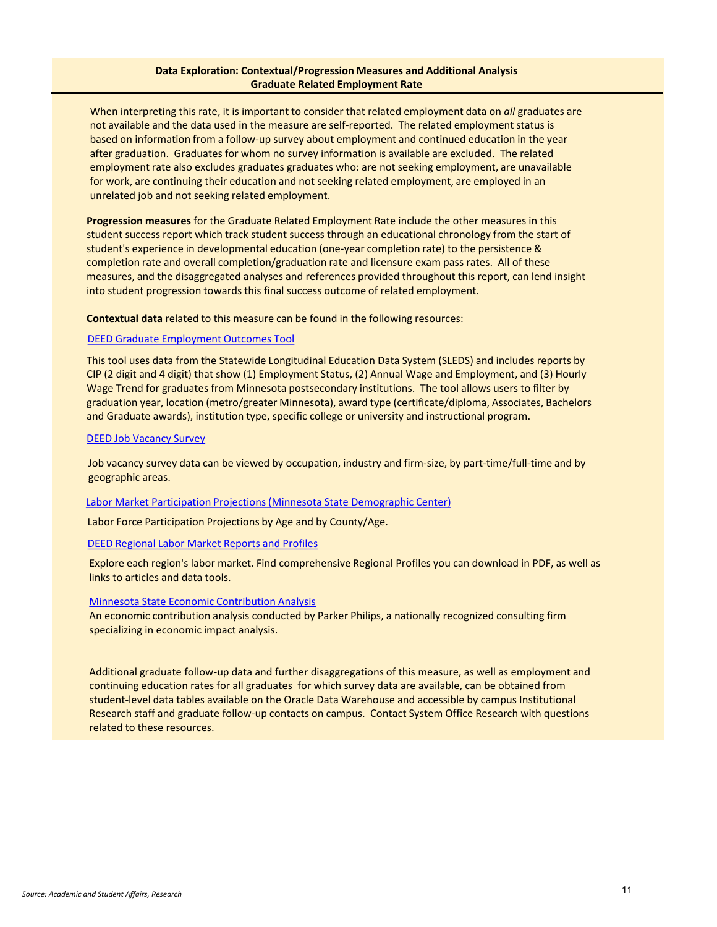### **Data Exploration: Contextual/Progression Measures and Additional Analysis Graduate Related Employment Rate**

When interpreting this rate, it is important to consider that related employment data on *all* graduates are not available and the data used in the measure are self-reported. The related employment status is based on information from a follow-up survey about employment and continued education in the year after graduation. Graduates for whom no survey information is available are excluded. The related employment rate also excludes graduates graduates who: are not seeking employment, are unavailable for work, are continuing their education and not seeking related employment, are employed in an unrelated job and not seeking related employment.

**Progression measures** for the Graduate Related Employment Rate include the other measures in this student success report which track student success through an educational chronology from the start of student's experience in developmental education (one-year completion rate) to the persistence & completion rate and overall completion/graduation rate and licensure exam pass rates. All of these measures, and the disaggregated analyses and references provided throughout this report, can lend insight into student progression towards this final success outcome of related employment.

**Contextual data** related to this measure can be found in the following resources:

#### [DEED Graduate Employment Outcomes Tool](https://apps.deed.state.mn.us/lmi/etd/Results.aspx)

This tool uses data from the Statewide Longitudinal Education Data System (SLEDS) and includes reports by CIP (2 digit and 4 digit) that show (1) Employment Status, (2) Annual Wage and Employment, and (3) Hourly Wage Trend for graduates from Minnesota postsecondary institutions. The tool allows users to filter by graduation year, location (metro/greater Minnesota), award type (certificate/diploma, Associates, Bachelors and Graduate awards), institution type, specific college or university and instructional program.

#### [DEED Job Vacancy](https://apps.deed.state.mn.us/lmi/jvs/ChooseAreaMap.aspx) Survey

Job vacancy survey data can be viewed by occupation, industry and firm-size, by part-time/full-time and by geographic areas.

#### [Labor Market Participation Projections \(Minnesota State Demographic Center\)](https://mn.gov/admin/demography/data-by-topic/population-data/our-projections/)

Labor Force Participation Projections by Age and by County/Age.

#### DEED Regional [Labor Market Reports and Profiles](https://mn.gov/deed/data/regional-lmi/)

Explore each region's labor market. Find comprehensive Regional Profiles you can download in PDF, as well as links to articles and data tools.

### [Minnesota State Economic](https://www.minnstate.edu/IMPACT/) Contribution Analysis

An economic contribution analysis conducted by Parker Philips, a nationally recognized consulting firm specializing in economic impact analysis.

Additional graduate follow-up data and further disaggregations of this measure, as well as employment and continuing education rates for all graduates for which survey data are available, can be obtained from student-level data tables available on the Oracle Data Warehouse and accessible by campus Institutional Research staff and graduate follow-up contacts on campus. Contact System Office Research with questions related to these resources.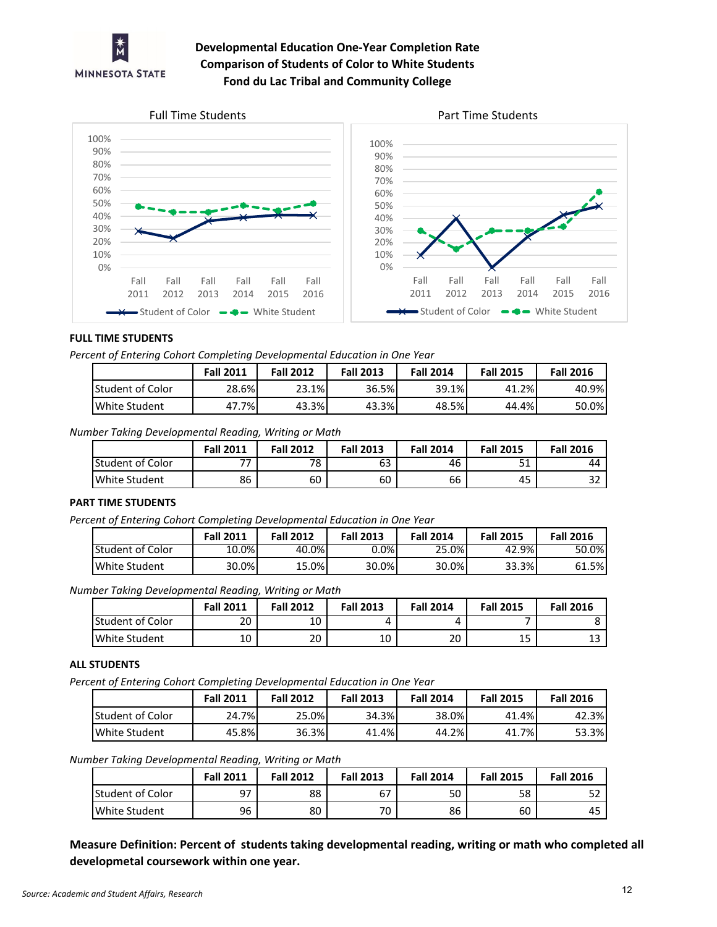

# **Developmental Education One-Year Completion Rate Comparison of Students of Color to White Students Fond du Lac Tribal and Community College**







### **FULL TIME STUDENTS**

*Percent of Entering Cohort Completing Developmental Education in One Year*

|                         | <b>Fall 2011</b> | <b>Fall 2012</b> | <b>Fall 2013</b> | <b>Fall 2014</b> | <b>Fall 2015</b> | <b>Fall 2016</b> |
|-------------------------|------------------|------------------|------------------|------------------|------------------|------------------|
| <b>Student of Color</b> | 28.6%            | 23.1%            | 36.5%            | 39.1%            | 41.2%            | 40.9%            |
| White Student           | 7%I<br>47        | 43.3%            | 43.3%            | 48.5%            | 44.4%            | 50.0%            |

*Number Taking Developmental Reading, Writing or Math*

|                         | <b>Fall 2011</b> | <b>Fall 2012</b> | <b>Fall 2013</b> | <b>Fall 2014</b> | <b>Fall 2015</b> | <b>Fall 2016</b> |
|-------------------------|------------------|------------------|------------------|------------------|------------------|------------------|
| <b>Student of Color</b> | 77               | 78               | 63               | 46               | г4<br>⊥ ر        | 44               |
| White Student           | 86               | 60               | 60               | 66               | 45               | $\sim$<br>ے ر    |

### **PART TIME STUDENTS**

*Percent of Entering Cohort Completing Developmental Education in One Year*

|                  | <b>Fall 2011</b> | <b>Fall 2012</b> | <b>Fall 2013</b> | <b>Fall 2014</b> | <b>Fall 2015</b> | <b>Fall 2016</b> |
|------------------|------------------|------------------|------------------|------------------|------------------|------------------|
| Student of Color | 10.0%            | 40.0%            | $0.0\%$          | 25.0%            | 42.9%            | 50.0%            |
| White Student    | 30.0%            | 15.0%            | 30.0%            | 30.0%            | 33.3%            | 61.5%            |

*Number Taking Developmental Reading, Writing or Math*

|                         | <b>Fall 2011</b> | <b>Fall 2012</b> | <b>Fall 2013</b> | <b>Fall 2014</b> | <b>Fall 2015</b> | <b>Fall 2016</b> |
|-------------------------|------------------|------------------|------------------|------------------|------------------|------------------|
| <b>Student of Color</b> | 20               | 10               |                  |                  |                  |                  |
| White Student           | 10               | 20               | 10               | 20               | 1 C<br>ᅩ         | ᅩ                |

### **ALL STUDENTS**

*Percent of Entering Cohort Completing Developmental Education in One Year*

|                         | <b>Fall 2011</b> | <b>Fall 2012</b> | <b>Fall 2013</b> | <b>Fall 2014</b> | <b>Fall 2015</b> | <b>Fall 2016</b> |
|-------------------------|------------------|------------------|------------------|------------------|------------------|------------------|
| <b>Student of Color</b> | 24.7%            | 25.0%            | 34.3%            | 38.0%            | 41.4%            | 42.3%            |
| White Student           | 45.8%            | 36.3%            | 41.4%            | 44.2%            | 7%<br>41.,       | 53.3%            |

*Number Taking Developmental Reading, Writing or Math*

|                  | <b>Fall 2011</b> | <b>Fall 2012</b> | <b>Fall 2013</b>               | <b>Fall 2014</b> | <b>Fall 2015</b> | <b>Fall 2016</b> |
|------------------|------------------|------------------|--------------------------------|------------------|------------------|------------------|
| Student of Color | 97<br>، ب        | 88               | $\overline{\phantom{a}}$<br>ь. | 50               | 58               | ے د              |
| White Student    | 96               | 80               | 70.                            | 86               | 60               | 45               |

**Measure Definition: Percent of students taking developmental reading, writing or math who completed all developmetal coursework within one year.**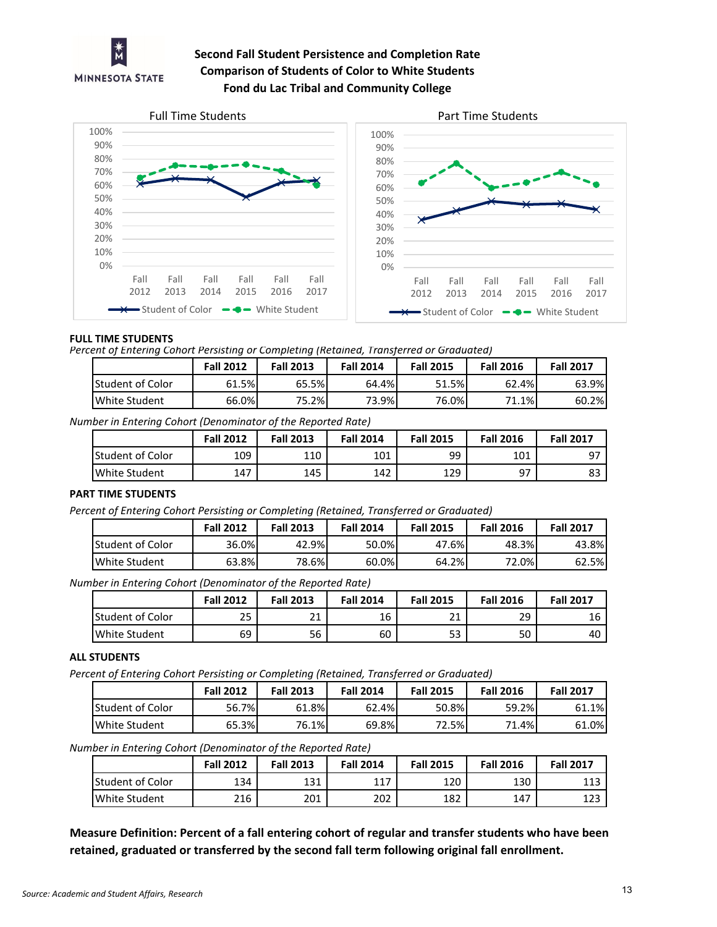

# **Second Fall Student Persistence and Completion Rate Comparison of Students of Color to White Students Fond du Lac Tribal and Community College**



### **FULL TIME STUDENTS**

*Percent of Entering Cohort Persisting or Completing (Retained, Transferred or Graduated)*

|                         | <b>Fall 2012</b> | <b>Fall 2013</b> | <b>Fall 2014</b> | <b>Fall 2015</b> | <b>Fall 2016</b> | <b>Fall 2017</b> |
|-------------------------|------------------|------------------|------------------|------------------|------------------|------------------|
| <b>Student of Color</b> | 61.5%            | 65.5%            | 64.4%            | 51.5%            | 62.4%            | 63.9%            |
| White Student           | 66.0%            | 75.2%            | $3.9\%$          | 76.0%            | 1.1%<br>71       | 60.2%            |

*Number in Entering Cohort (Denominator of the Reported Rate)*

|                      | <b>Fall 2012</b> | <b>Fall 2013</b> | <b>Fall 2014</b> | <b>Fall 2015</b> | <b>Fall 2016</b> | <b>Fall 2017</b> |
|----------------------|------------------|------------------|------------------|------------------|------------------|------------------|
| lStudent of Color    | 109              | 110              | 101              | 99               | 101              |                  |
| <b>White Student</b> | 147              | 145              | 142              | 129              | 97               | ده               |

### **PART TIME STUDENTS**

*Percent of Entering Cohort Persisting or Completing (Retained, Transferred or Graduated)*

|                         | <b>Fall 2012</b> | <b>Fall 2013</b> | <b>Fall 2014</b> | <b>Fall 2015</b> | <b>Fall 2016</b> | <b>Fall 2017</b> |
|-------------------------|------------------|------------------|------------------|------------------|------------------|------------------|
| <b>Student of Color</b> | 36.0%            | 42.9%            | $50.0\%$         | 47.6%            | 48.3%            | 43.8%            |
| White Student           | 63.8%            | 78.6%            | 60.0%            | 64.2%            | 72.0%            | 62.5%            |

*Number in Entering Cohort (Denominator of the Reported Rate)*

|                         | <b>Fall 2012</b> | <b>Fall 2013</b> | <b>Fall 2014</b> | <b>Fall 2015</b> | <b>Fall 2016</b> | <b>Fall 2017</b> |
|-------------------------|------------------|------------------|------------------|------------------|------------------|------------------|
| <b>Student of Color</b> | 25               | 74<br>ᅀ          | 16               | <b>01</b>        | 29               |                  |
| White Student           | 69               | 56               | 60               | 53               | 50               | 40               |

### **ALL STUDENTS**

*Percent of Entering Cohort Persisting or Completing (Retained, Transferred or Graduated)*

|                          | <b>Fall 2012</b> | <b>Fall 2013</b> | <b>Fall 2014</b> | <b>Fall 2015</b> | <b>Fall 2016</b> | <b>Fall 2017</b> |
|--------------------------|------------------|------------------|------------------|------------------|------------------|------------------|
| <b>IStudent of Color</b> | 56.7%            | 61.8%            | 62.4%            | 50.8%            | 59.2%            | 61.1%            |
| White Student            | 65.3%            | 76.1%            | 69.8%            | 72.5%            | $4.4\%$<br>74    | 61.0%            |

*Number in Entering Cohort (Denominator of the Reported Rate)*

|                         | <b>Fall 2012</b> | <b>Fall 2013</b> | <b>Fall 2014</b> | <b>Fall 2015</b> | <b>Fall 2016</b> | <b>Fall 2017</b> |
|-------------------------|------------------|------------------|------------------|------------------|------------------|------------------|
| <b>Student of Color</b> | 134              | 131              | 117              | 120              | 130              | 113              |
| White Student           | 216              | 201              | 202              | 182              | 147              | 123              |

**Measure Definition: Percent of a fall entering cohort of regular and transfer students who have been retained, graduated or transferred by the second fall term following original fall enrollment.**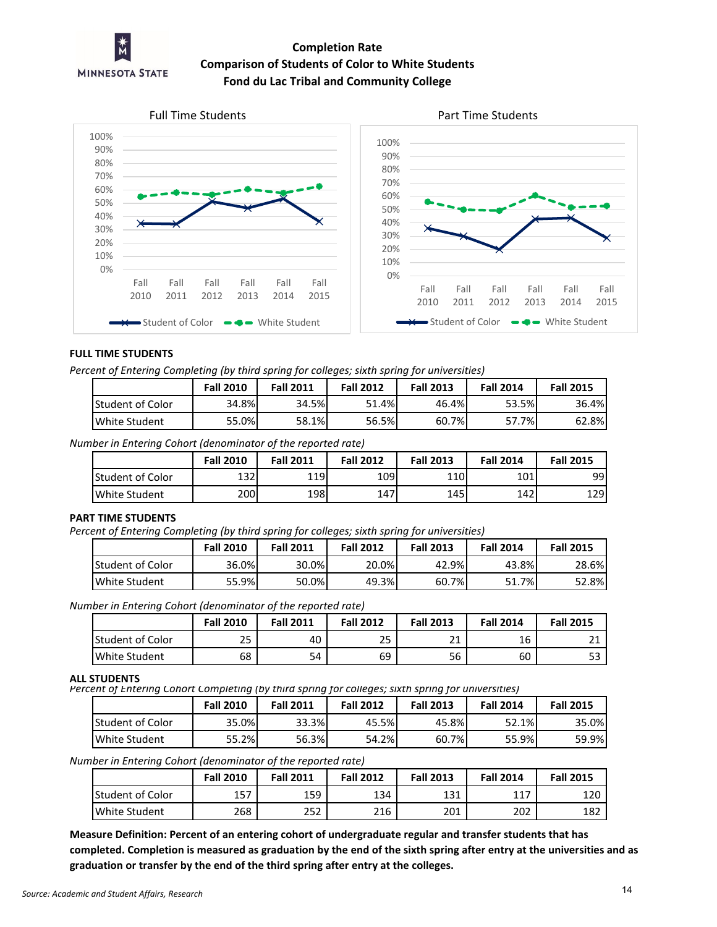

# **Completion Rate Comparison of Students of Color to White Students Fond du Lac Tribal and Community College**





## **FULL TIME STUDENTS**

*Percent of Entering Completing (by third spring for colleges; sixth spring for universities)*

|                         | <b>Fall 2010</b> | <b>Fall 2011</b> | <b>Fall 2012</b> | <b>Fall 2013</b> | <b>Fall 2014</b> | <b>Fall 2015</b> |
|-------------------------|------------------|------------------|------------------|------------------|------------------|------------------|
| <b>Student of Color</b> | 34.8%            | 34.5%            | 51.4%            | 46.4%            | 53.5%            | 36.4%            |
| White Student           | 55.0%            | 58.1%            | 56.5%            | 7%<br>60.7       | 7.7%             | 62.8%            |

*Number in Entering Cohort (denominator of the reported rate)*

|                         | <b>Fall 2010</b> | <b>Fall 2011</b> | <b>Fall 2012</b> | <b>Fall 2013</b> | <b>Fall 2014</b> | <b>Fall 2015</b> |
|-------------------------|------------------|------------------|------------------|------------------|------------------|------------------|
| <b>Student of Color</b> | 132              | 119              | 109              | 110              | 101              | 99               |
| <b>White Student</b>    | 200              | 198              | 147              | 145              | 142              | 1291             |

### **PART TIME STUDENTS**

*Percent of Entering Completing (by third spring for colleges; sixth spring for universities)*

|                         | <b>Fall 2010</b> | <b>Fall 2011</b> | <b>Fall 2012</b> | <b>Fall 2013</b> | <b>Fall 2014</b> | <b>Fall 2015</b> |
|-------------------------|------------------|------------------|------------------|------------------|------------------|------------------|
| <b>Student of Color</b> | 36.0%            | 30.0%            | 20.0%            | 42.9%            | 43.8%            | 28.6%            |
| White Student           | 55.9%            | 50.0%            | 49.3%            | 60.7%            | 51.7%            | 52.8%            |

*Number in Entering Cohort (denominator of the reported rate)*

|                         | <b>Fall 2010</b> | <b>Fall 2011</b> | <b>Fall 2012</b> | <b>Fall 2013</b> | <b>Fall 2014</b> | <b>Fall 2015</b> |
|-------------------------|------------------|------------------|------------------|------------------|------------------|------------------|
| <b>Student of Color</b> | nг<br>ر ے        | 40               | 25               | <b>O</b> 4<br>ᅩ  | 16               |                  |
| White Student           | 68               | 54               | 69               | 56               | 60               | 53               |

#### **ALL STUDENTS**

*Percent of Entering Cohort Completing (by third spring for colleges; sixth spring for universities)*

|                   | <b>Fall 2010</b> | <b>Fall 2011</b> | <b>Fall 2012</b> | <b>Fall 2013</b> | <b>Fall 2014</b> | <b>Fall 2015</b> |
|-------------------|------------------|------------------|------------------|------------------|------------------|------------------|
| lStudent of Color | 35.0%            | 33.3%            | 45.5%            | 45.8%            | 52.1%            | 35.0%            |
| White Student     | 55.2%            | 56.3%            | 54.2%            | 60.7%            | 55.9%            | 59.9%            |

*Number in Entering Cohort (denominator of the reported rate)*

|                  | <b>Fall 2010</b> | <b>Fall 2011</b> | <b>Fall 2012</b> | <b>Fall 2013</b> | <b>Fall 2014</b> | <b>Fall 2015</b> |
|------------------|------------------|------------------|------------------|------------------|------------------|------------------|
| Student of Color | 157              | 159              | 134              | 131              | 117              | 120              |
| White Student    | 268              | 252              | 216              | 201              | 202              | 182              |

**Measure Definition: Percent of an entering cohort of undergraduate regular and transfer students that has completed. Completion is measured as graduation by the end of the sixth spring after entry at the universities and as graduation or transfer by the end of the third spring after entry at the colleges.**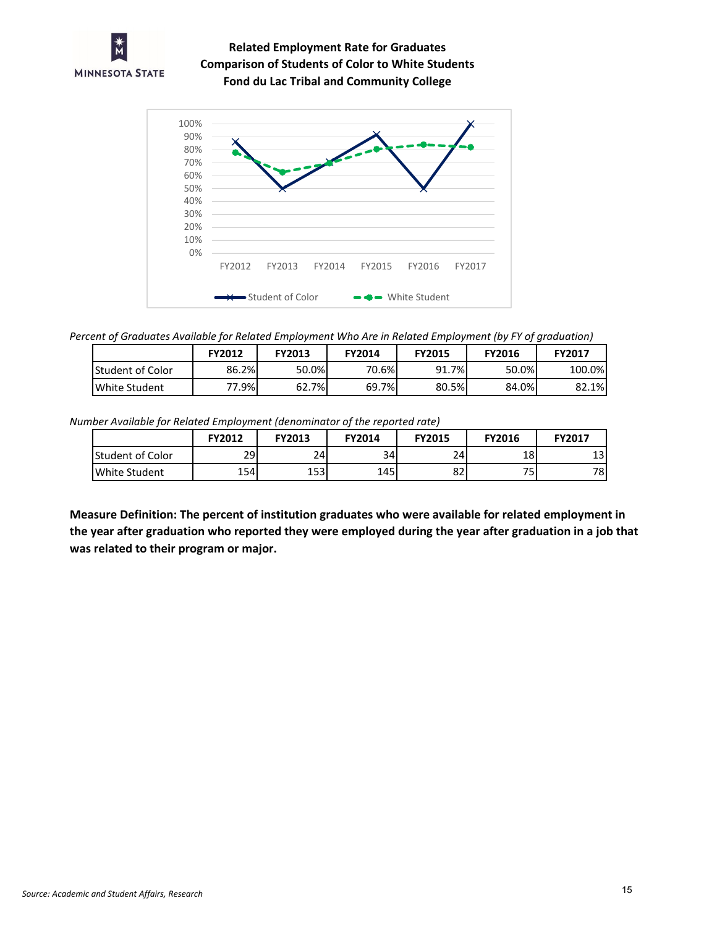

**Comparison of Students of Color to White Students Fond du Lac Tribal and Community College Related Employment Rate for Graduates**



*Percent of Graduates Available for Related Employment Who Are in Related Employment (by FY of graduation)*

|                         | <b>FY2012</b> | <b>FY2013</b> | <b>FY2014</b> | <b>FY2015</b> | <b>FY2016</b> | <b>FY2017</b> |
|-------------------------|---------------|---------------|---------------|---------------|---------------|---------------|
| <b>Student of Color</b> | 86.2%         | 50.0%         | 70.6%         | 91.7%         | 50.0%         | 100.0%        |
| White Student           | 77.9%         | 62.7%         | 69.7%         | 80.5%         | 84.0%         | 82.1%         |

*Number Available for Related Employment (denominator of the reported rate)*

|                         | FY2012 | FY2013 | <b>FY2014</b> | <b>FY2015</b> | FY2016 | <b>FY2017</b> |
|-------------------------|--------|--------|---------------|---------------|--------|---------------|
| <b>Student of Color</b> | 29     | 24     | 34            | 24            | 18     | 13            |
| White Student           | 154    | 153    | 145           | 82            | 75.    | 78            |

**Measure Definition: The percent of institution graduates who were available for related employment in the year after graduation who reported they were employed during the year after graduation in a job that was related to their program or major.**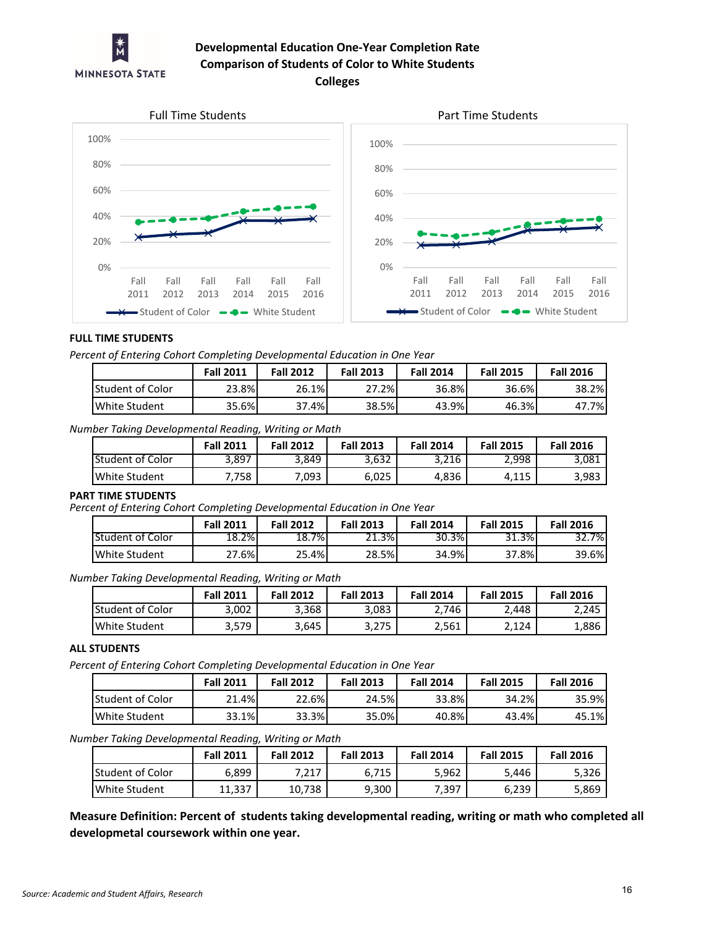

# **Developmental Education One-Year Completion Rate Comparison of Students of Color to White Students Colleges**





### **FULL TIME STUDENTS**

*Percent of Entering Cohort Completing Developmental Education in One Year*

|                          | <b>Fall 2011</b> | <b>Fall 2012</b> | <b>Fall 2013</b> | <b>Fall 2014</b> | <b>Fall 2015</b> | <b>Fall 2016</b> |
|--------------------------|------------------|------------------|------------------|------------------|------------------|------------------|
| <b>IStudent of Color</b> | 23.8%            | 26.1%            | 27.2%            | 36.8%            | 36.6%            | 38.2%            |
| White Student            | 35.6%            | ا 4%.<br>37      | 38.5%            | 43.9%            | 46.3%            | .7%I<br>47       |

*Number Taking Developmental Reading, Writing or Math*

|                      | <b>Fall 2011</b> | <b>Fall 2012</b> | <b>Fall 2013</b> | <b>Fall 2014</b> | <b>Fall 2015</b> | <b>Fall 2016</b> |
|----------------------|------------------|------------------|------------------|------------------|------------------|------------------|
| lStudent of Color    | 3.897            | 3,849            | 3.632            | 3.216            | 2,998            | 3,081            |
| <b>White Student</b> | 7.758            | 7,093            | 6,025            | 4,836            | A 115<br>4,113   | 3,983            |

### **PART TIME STUDENTS**

*Percent of Entering Cohort Completing Developmental Education in One Year*

|                  | <b>Fall 2011</b> | <b>Fall 2012</b>        | <b>Fall 2013</b> | <b>Fall 2014</b> | <b>Fall 2015</b> | <b>Fall 2016</b> |
|------------------|------------------|-------------------------|------------------|------------------|------------------|------------------|
| Student of Color | 18.2%            | 7% <sub>1</sub><br>18.7 | 21.3%            | 30.3%            | 31.3%            | 32.7%            |
| White Student    | <u> 27.6% </u>   | 25.4%                   | 28.5%            | 34.9%            | .8%              | 39.6%            |

*Number Taking Developmental Reading, Writing or Math*

|                  | <b>Fall 2011</b> | <b>Fall 2012</b> | <b>Fall 2013</b> | <b>Fall 2014</b> | <b>Fall 2015</b> | <b>Fall 2016</b> |
|------------------|------------------|------------------|------------------|------------------|------------------|------------------|
| Student of Color | 3,002            | 3,368            | 3,083            | 2.746            | 2.448            | 2.245            |
| White Student    | 3,579            | 3,645            | 3,275            | 2.561            | 2.124            | 1,886            |

### **ALL STUDENTS**

*Percent of Entering Cohort Completing Developmental Education in One Year*

|                   | <b>Fall 2011</b> | <b>Fall 2012</b> | <b>Fall 2013</b> | <b>Fall 2014</b> | <b>Fall 2015</b> | <b>Fall 2016</b> |
|-------------------|------------------|------------------|------------------|------------------|------------------|------------------|
| lStudent of Color | 21.4%            | 22.6%            | 24.5%            | 33.8%            | 34.2%            | 35.9%            |
| White Student     | 33.1%            | 33.3%            | 35.0%            | 40.8%            | 43.4%            | 45.1%            |

*Number Taking Developmental Reading, Writing or Math*

|                         | <b>Fall 2011</b> | <b>Fall 2012</b> | <b>Fall 2013</b> | <b>Fall 2014</b> | <b>Fall 2015</b> | <b>Fall 2016</b> |
|-------------------------|------------------|------------------|------------------|------------------|------------------|------------------|
| <b>Student of Color</b> | 6.899            | 7.217            | 6,715            | 5,962            | 5.446            | 5,326            |
| White Student           | 11.337           | 10,738           | 9,300            | 7,397            | 6,239            | 5,869            |

**Measure Definition: Percent of students taking developmental reading, writing or math who completed all developmetal coursework within one year.**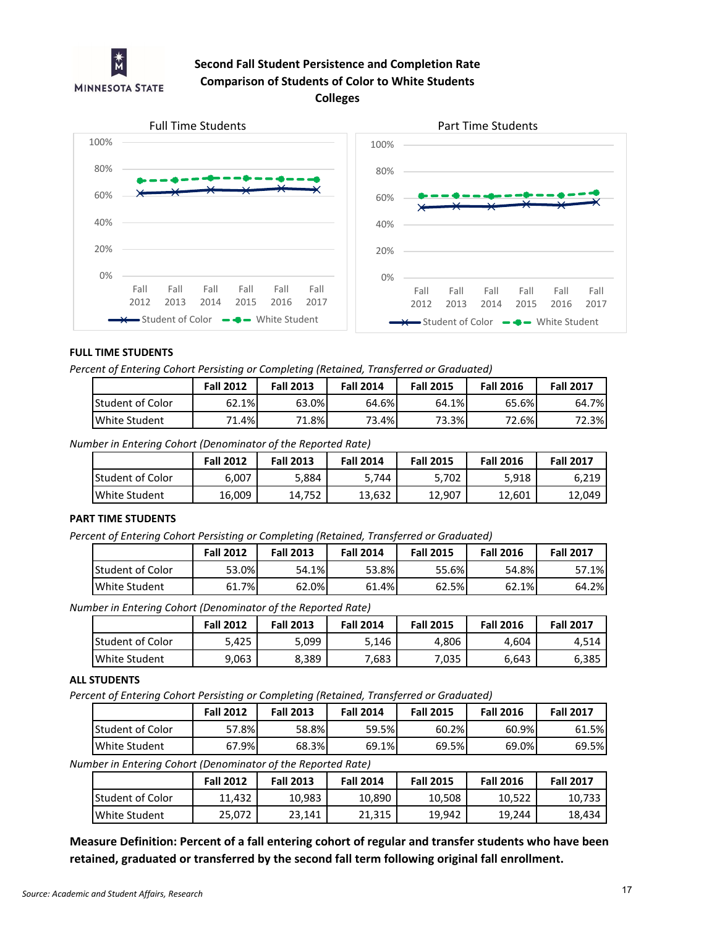

# **Second Fall Student Persistence and Completion Rate Comparison of Students of Color to White Students**





## **FULL TIME STUDENTS**

*Percent of Entering Cohort Persisting or Completing (Retained, Transferred or Graduated)*

|                         | <b>Fall 2012</b> | <b>Fall 2013</b> | <b>Fall 2014</b> | <b>Fall 2015</b> | <b>Fall 2016</b> | <b>Fall 2017</b> |
|-------------------------|------------------|------------------|------------------|------------------|------------------|------------------|
| <b>Student of Color</b> | 62.1%            | 63.0%            | 64.6%            | 64.1%            | 65.6%            | 64.7%            |
| White Student           | $1.4\%$<br>71    | 1.8%             | 73.4%            | 73.3%            | 72.6%            | 2.3%             |

*Number in Entering Cohort (Denominator of the Reported Rate)*

|                         | <b>Fall 2012</b> | <b>Fall 2013</b> | <b>Fall 2014</b> | <b>Fall 2015</b> | <b>Fall 2016</b> | <b>Fall 2017</b> |
|-------------------------|------------------|------------------|------------------|------------------|------------------|------------------|
| <b>Student of Color</b> | 6.007            | 5,884            | 5,744            | 5.702            | 5.918            | 6,219            |
| White Student           | 16,009           | 14.752           | 13,632           | 12,907           | 12.601           | 12,049           |

# **PART TIME STUDENTS**

*Percent of Entering Cohort Persisting or Completing (Retained, Transferred or Graduated)*

|                         | <b>Fall 2012</b> | <b>Fall 2013</b> | <b>Fall 2014</b> | <b>Fall 2015</b> | <b>Fall 2016</b> | <b>Fall 2017</b> |
|-------------------------|------------------|------------------|------------------|------------------|------------------|------------------|
| <b>Student of Color</b> | 53.0%            | 54.1%            | 53.8%            | 55.6%            | 54.8%            | .1%              |
| <b>White Student</b>    | 61.7%            | 62.0%            | 61.4%            | 62.5%            | 62.1%            | 64.2%            |

*Number in Entering Cohort (Denominator of the Reported Rate)*

|                  | <b>Fall 2012</b> | <b>Fall 2013</b> | <b>Fall 2014</b> | <b>Fall 2015</b> | <b>Fall 2016</b> | <b>Fall 2017</b> |
|------------------|------------------|------------------|------------------|------------------|------------------|------------------|
| Student of Color | 5,425            | 5,099            | 5.146            | 4,806            | 4.604            | 4.514            |
| White Student    | 9,063            | 8,389            | 7,683            | 7,035            | 6,643            | 6,385            |

### **ALL STUDENTS**

*Percent of Entering Cohort Persisting or Completing (Retained, Transferred or Graduated)*

|                         | <b>Fall 2012</b> | <b>Fall 2013</b> | <b>Fall 2014</b> | <b>Fall 2015</b> | <b>Fall 2016</b> | <b>Fall 2017</b> |
|-------------------------|------------------|------------------|------------------|------------------|------------------|------------------|
| <b>Student of Color</b> | $2.8\%$          | 58.8%            | 59.5%            | 60.2%            | 60.9%            | 61.5%            |
| White Student           | 67.9%I           | 68.3%            | 69.1%            | 69.5%            | 69.0%            | 69.5%            |

*Number in Entering Cohort (Denominator of the Reported Rate)*

|                          | <b>Fall 2012</b> | <b>Fall 2013</b> | <b>Fall 2014</b> | <b>Fall 2015</b> | <b>Fall 2016</b> | <b>Fall 2017</b> |
|--------------------------|------------------|------------------|------------------|------------------|------------------|------------------|
| <b>IStudent of Color</b> | 11.432           | 10,983           | 10,890           | 10,508           | 10,522           | 10,733           |
| White Student            | 25.072           | 23.141           | 21.315           | 19.942           | 19.244           | 18.434           |

**Measure Definition: Percent of a fall entering cohort of regular and transfer students who have been retained, graduated or transferred by the second fall term following original fall enrollment.**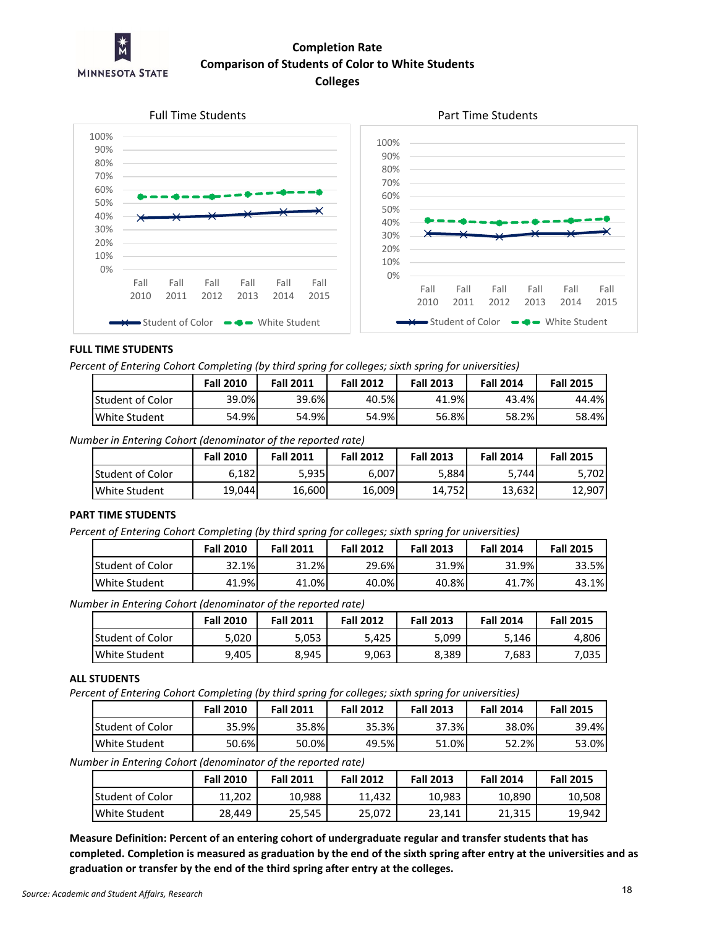

# **Colleges Completion Rate Comparison of Students of Color to White Students**



### **FULL TIME STUDENTS**

*Percent of Entering Cohort Completing (by third spring for colleges; sixth spring for universities)*

|                         | <b>Fall 2010</b> | <b>Fall 2011</b> | <b>Fall 2012</b> | <b>Fall 2013</b> | <b>Fall 2014</b> | <b>Fall 2015</b> |
|-------------------------|------------------|------------------|------------------|------------------|------------------|------------------|
| <b>Student of Color</b> | 39.0%            | 39.6%            | 40.5%            | 41.9%            | 43.4%            | 44.4%            |
| White Student           | 54.9%            | 54.9%            | 54.9%            | 56.8%            | 58.2%            | 58.4%            |

*Number in Entering Cohort (denominator of the reported rate)*

|                          | <b>Fall 2010</b> | <b>Fall 2011</b> | <b>Fall 2012</b> | <b>Fall 2013</b> | <b>Fall 2014</b> | <b>Fall 2015</b> |
|--------------------------|------------------|------------------|------------------|------------------|------------------|------------------|
| <b>IStudent of Color</b> | 6,182            | 5,9351           | 6,007            | 5,884            | 5,744            | 5.702            |
| White Student            | 19,044           | 16,600           | 16,009           | 14,752           | 13,632           | 12,907           |

### **PART TIME STUDENTS**

*Percent of Entering Cohort Completing (by third spring for colleges; sixth spring for universities)*

|                         | <b>Fall 2010</b> | <b>Fall 2011</b> | <b>Fall 2012</b> | <b>Fall 2013</b> | <b>Fall 2014</b> | <b>Fall 2015</b> |
|-------------------------|------------------|------------------|------------------|------------------|------------------|------------------|
| <b>Student of Color</b> | 32.1%<br>າາ      | 1.2%<br>21       | 29.6%            | 31.9%            | 31.9%            | 33.5%            |
| <b>White Student</b>    | 41.9%            | 41.0%            | 40.0%            | 40.8%            | 41.7%            | 43.1%            |

*Number in Entering Cohort (denominator of the reported rate)*

|                   | <b>Fall 2010</b> | <b>Fall 2011</b> | <b>Fall 2012</b> | <b>Fall 2013</b> | <b>Fall 2014</b> | <b>Fall 2015</b> |
|-------------------|------------------|------------------|------------------|------------------|------------------|------------------|
| lStudent of Color | $0.020$ د.       | 5,053            | 5.425            | 999,د            | ' 146.د          | 4,806            |
| White Student     | 9,405            | 8,945            | 9,063            | 8,389            | 7,683            | 7,035            |

#### **ALL STUDENTS**

*Percent of Entering Cohort Completing (by third spring for colleges; sixth spring for universities)*

|                         | <b>Fall 2010</b> | <b>Fall 2011</b> | <b>Fall 2012</b> | <b>Fall 2013</b> | <b>Fall 2014</b> | <b>Fall 2015</b> |
|-------------------------|------------------|------------------|------------------|------------------|------------------|------------------|
| <b>Student of Color</b> | 35.9%            | 35.8%            | 35.3%            | 37.3%            | 38.0%            | 39.4%            |
| White Student           | 50.6%            | 50.0%            | 49.5%            | 51.0%            | 52.2%            | 53.0%            |

*Number in Entering Cohort (denominator of the reported rate)*

|                         | <b>Fall 2010</b> | <b>Fall 2011</b> | <b>Fall 2012</b> | <b>Fall 2013</b> | <b>Fall 2014</b> | <b>Fall 2015</b> |
|-------------------------|------------------|------------------|------------------|------------------|------------------|------------------|
| <b>Student of Color</b> | 11.202           | 10.988           | 11.432           | 10,983           | 10,890           | 10,508           |
| White Student           | 28.449           | 25.545           | 25.072           | 23.141           | 21,315           | 19,942           |

**Measure Definition: Percent of an entering cohort of undergraduate regular and transfer students that has completed. Completion is measured as graduation by the end of the sixth spring after entry at the universities and as graduation or transfer by the end of the third spring after entry at the colleges.**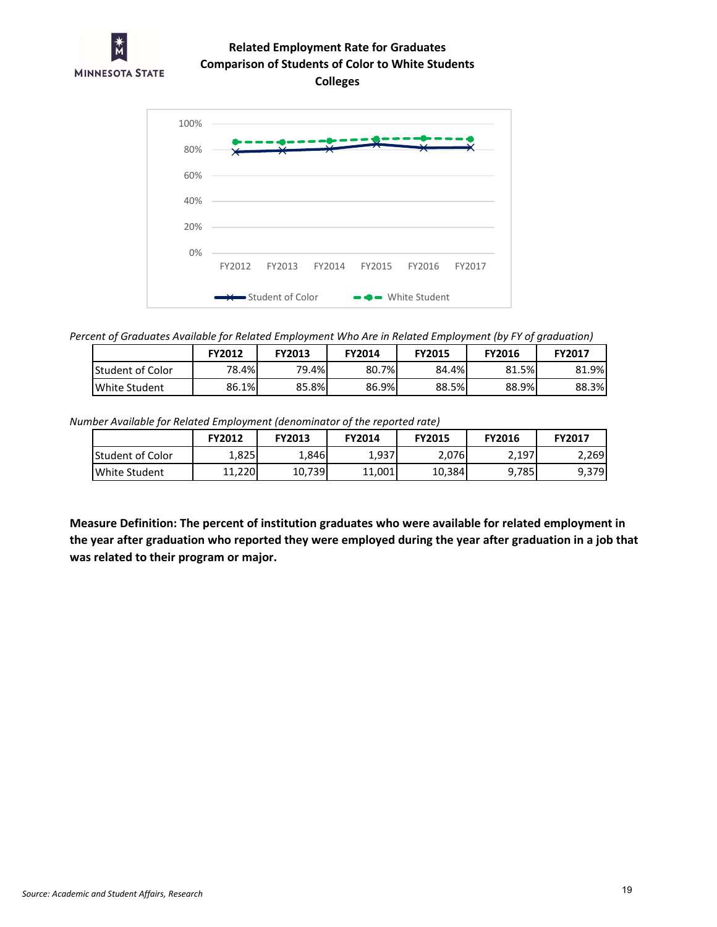

# **Comparison of Students of Color to White Students Related Employment Rate for Graduates**





*Percent of Graduates Available for Related Employment Who Are in Related Employment (by FY of graduation)*

|                  | FY2012 | <b>FY2013</b> | <b>FY2014</b> | <b>FY2015</b> | <b>FY2016</b> | <b>FY2017</b> |
|------------------|--------|---------------|---------------|---------------|---------------|---------------|
| Student of Color | 78.4%  | 79.4%         | 80.7%         | 84.4%         | 81.5%         | 81.9%         |
| White Student    | 86.1%  | 85.8%         | 86.9%         | 88.5%         | 88.9%         | 88.3%         |

*Number Available for Related Employment (denominator of the reported rate)*

|                         | <b>FY2012</b> | <b>FY2013</b> | <b>FY2014</b> | <b>FY2015</b> | <b>FY2016</b> | FY2017 |
|-------------------------|---------------|---------------|---------------|---------------|---------------|--------|
| <b>Student of Color</b> | ا 825.⊾       | ا 846.⊥       | 1,937         | 2,076         | 2,197         | 2.269  |
| White Student           | 11.220        | 10,739        | 11,001        | 10,384        | 9,785         | 9,379  |

**Measure Definition: The percent of institution graduates who were available for related employment in the year after graduation who reported they were employed during the year after graduation in a job that was related to their program or major.**